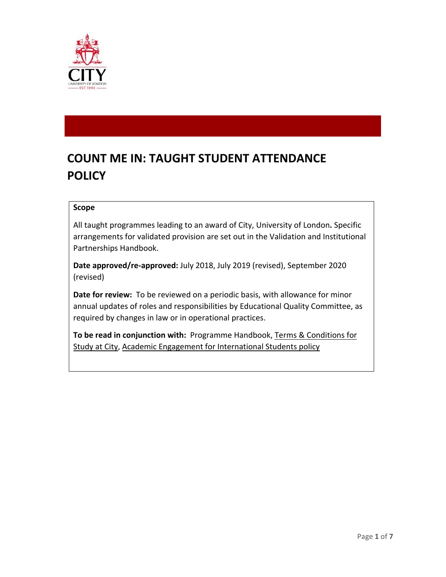

# **COUNT ME IN: TAUGHT STUDENT ATTENDANCE POLICY**

#### **Scope**

All taught programmes leading to an award of City, University of London**.** Specific arrangements for validated provision are set out in the Validation and Institutional Partnerships Handbook.

**Date approved/re-approved:** July 2018, July 2019 (revised), September 2020 (revised)

**Date for review:** To be reviewed on a periodic basis, with allowance for minor annual updates of roles and responsibilities by Educational Quality Committee, as required by changes in law or in operational practices.

**To be read in conjunction with:** Programme Handbook, [Terms & Conditions for](http://tps/www.city.ac.uk/about/governance/legal/terms)  [Study at City,](http://tps/www.city.ac.uk/about/governance/legal/terms) Academic Engagement for International Students policy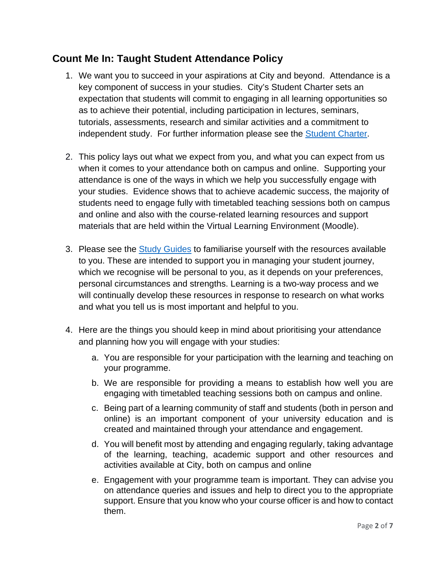### **Count Me In: Taught Student Attendance Policy**

- 1. We want you to succeed in your aspirations at City and beyond. Attendance is a key component of success in your studies. City's Student Charter sets an expectation that students will commit to engaging in all learning opportunities so as to achieve their potential, including participation in lectures, seminars, tutorials, assessments, research and similar activities and a commitment to independent study. For further information please see the [Student Charter.](https://studenthub.city.ac.uk/student-administration/student-charter)
- 2. This policy lays out what we expect from you, and what you can expect from us when it comes to your attendance both on campus and online. Supporting your attendance is one of the ways in which we help you successfully engage with your studies. Evidence shows that to achieve academic success, the majority of students need to engage fully with timetabled teaching sessions both on campus and online and also with the course-related learning resources and support materials that are held within the Virtual Learning Environment (Moodle).
- 3. Please see the [Study Guides](https://studenthub.city.ac.uk/help-and-support/improve-your-study-skills/guides) to familiarise yourself with the resources available to you. These are intended to support you in managing your student journey, which we recognise will be personal to you, as it depends on your preferences, personal circumstances and strengths. Learning is a two-way process and we will continually develop these resources in response to research on what works and what you tell us is most important and helpful to you.
- 4. Here are the things you should keep in mind about prioritising your attendance and planning how you will engage with your studies:
	- a. You are responsible for your participation with the learning and teaching on your programme.
	- b. We are responsible for providing a means to establish how well you are engaging with timetabled teaching sessions both on campus and online.
	- c. Being part of a learning community of staff and students (both in person and online) is an important component of your university education and is created and maintained through your attendance and engagement.
	- d. You will benefit most by attending and engaging regularly, taking advantage of the learning, teaching, academic support and other resources and activities available at City, both on campus and online
	- e. Engagement with your programme team is important. They can advise you on attendance queries and issues and help to direct you to the appropriate support. Ensure that you know who your course officer is and how to contact them.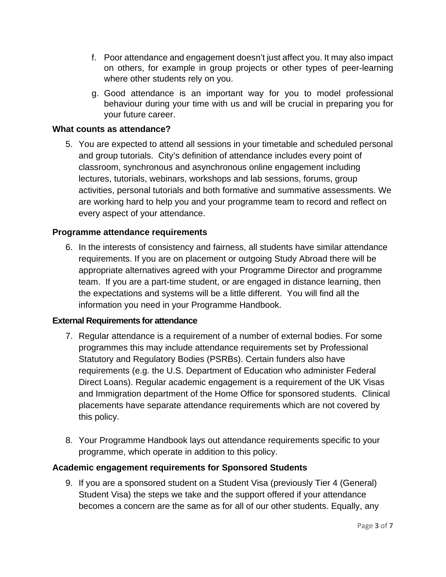- f. Poor attendance and engagement doesn't just affect you. It may also impact on others, for example in group projects or other types of peer-learning where other students rely on you.
- g. Good attendance is an important way for you to model professional behaviour during your time with us and will be crucial in preparing you for your future career.

#### **What counts as attendance?**

5. You are expected to attend all sessions in your timetable and scheduled personal and group tutorials. City's definition of attendance includes every point of classroom, synchronous and asynchronous online engagement including lectures, tutorials, webinars, workshops and lab sessions, forums, group activities, personal tutorials and both formative and summative assessments. We are working hard to help you and your programme team to record and reflect on every aspect of your attendance.

#### **Programme attendance requirements**

6. In the interests of consistency and fairness, all students have similar attendance requirements. If you are on placement or outgoing Study Abroad there will be appropriate alternatives agreed with your Programme Director and programme team. If you are a part-time student, or are engaged in distance learning, then the expectations and systems will be a little different. You will find all the information you need in your Programme Handbook.

#### **External Requirements for attendance**

- 7. Regular attendance is a requirement of a number of external bodies. For some programmes this may include attendance requirements set by Professional Statutory and Regulatory Bodies (PSRBs). Certain funders also have requirements (e.g. the U.S. Department of Education who administer Federal Direct Loans). Regular academic engagement is a requirement of the UK Visas and Immigration department of the Home Office for sponsored students. Clinical placements have separate attendance requirements which are not covered by this policy.
- 8. Your Programme Handbook lays out attendance requirements specific to your programme, which operate in addition to this policy.

#### **Academic engagement requirements for Sponsored Students**

9. If you are a sponsored student on a Student Visa (previously Tier 4 (General) Student Visa) the steps we take and the support offered if your attendance becomes a concern are the same as for all of our other students. Equally, any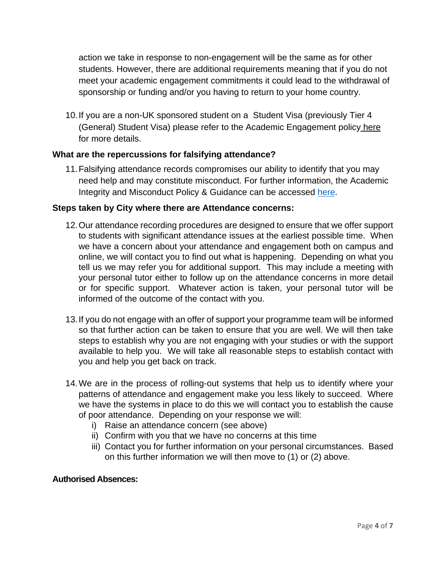action we take in response to non-engagement will be the same as for other students. However, there are additional requirements meaning that if you do not meet your academic engagement commitments it could lead to the withdrawal of sponsorship or funding and/or you having to return to your home country.

10.If you are a non-UK sponsored student on a Student Visa (previously Tier 4 (General) Student Visa) please refer to the Academic Engagement policy [here](https://www.city.ac.uk/study/international/visa-immigration-advice/tier4/responsibilities#tab=tab-2) for more details.

#### **What are the repercussions for falsifying attendance?**

11.Falsifying attendance records compromises our ability to identify that you may need help and may constitute misconduct. For further information, the Academic Integrity and Misconduct Policy & Guidance can be accessed [here.](https://www.city.ac.uk/__data/assets/pdf_file/0008/494576/Academic-Misconduct-Policy-and-Guidance-1920.pdf)

#### **Steps taken by City where there are Attendance concerns:**

- 12.Our attendance recording procedures are designed to ensure that we offer support to students with significant attendance issues at the earliest possible time. When we have a concern about your attendance and engagement both on campus and online, we will contact you to find out what is happening. Depending on what you tell us we may refer you for additional support. This may include a meeting with your personal tutor either to follow up on the attendance concerns in more detail or for specific support. Whatever action is taken, your personal tutor will be informed of the outcome of the contact with you.
- 13.If you do not engage with an offer of support your programme team will be informed so that further action can be taken to ensure that you are well. We will then take steps to establish why you are not engaging with your studies or with the support available to help you. We will take all reasonable steps to establish contact with you and help you get back on track.
- 14.We are in the process of rolling-out systems that help us to identify where your patterns of attendance and engagement make you less likely to succeed. Where we have the systems in place to do this we will contact you to establish the cause of poor attendance. Depending on your response we will:
	- i) Raise an attendance concern (see above)
	- ii) Confirm with you that we have no concerns at this time
	- iii) Contact you for further information on your personal circumstances. Based on this further information we will then move to (1) or (2) above.

#### **Authorised Absences:**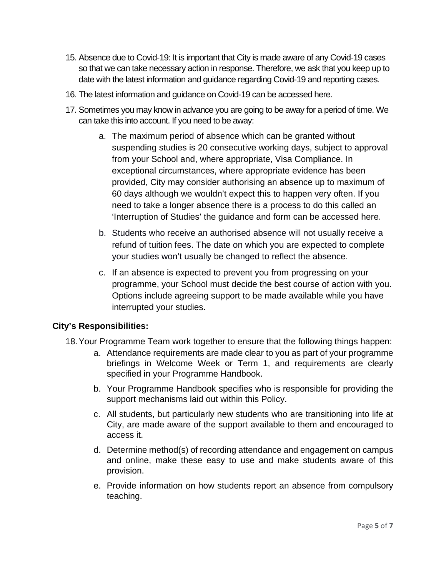- 15. Absence due to Covid-19: It is important that City is made aware of any Covid-19 cases so that we can take necessary action in response. Therefore, we ask that you keep up to date with the latest information and guidance regarding Covid-19 and reporting cases.
- 16. The latest information and guidance on Covid-19 can be accessed here.
- 17. Sometimes you may know in advance you are going to be away for a period of time. We can take this into account. If you need to be away:
	- a. The maximum period of absence which can be granted without suspending studies is 20 consecutive working days, subject to approval from your School and, where appropriate, Visa Compliance. In exceptional circumstances, where appropriate evidence has been provided, City may consider authorising an absence up to maximum of 60 days although we wouldn't expect this to happen very often. If you need to take a longer absence there is a process to do this called an 'Interruption of Studies' the guidance and form can be accessed [here.](https://www.city.ac.uk/__data/assets/pdf_file/0011/283088/Interruption-of-studies-policy.pdf)
	- b. Students who receive an authorised absence will not usually receive a refund of tuition fees. The date on which you are expected to complete your studies won't usually be changed to reflect the absence.
	- c. If an absence is expected to prevent you from progressing on your programme, your School must decide the best course of action with you. Options include agreeing support to be made available while you have interrupted your studies.

#### **City's Responsibilities:**

- 18.Your Programme Team work together to ensure that the following things happen:
	- a. Attendance requirements are made clear to you as part of your programme briefings in Welcome Week or Term 1, and requirements are clearly specified in your Programme Handbook.
	- b. Your Programme Handbook specifies who is responsible for providing the support mechanisms laid out within this Policy.
	- c. All students, but particularly new students who are transitioning into life at City, are made aware of the support available to them and encouraged to access it.
	- d. Determine method(s) of recording attendance and engagement on campus and online, make these easy to use and make students aware of this provision.
	- e. Provide information on how students report an absence from compulsory teaching.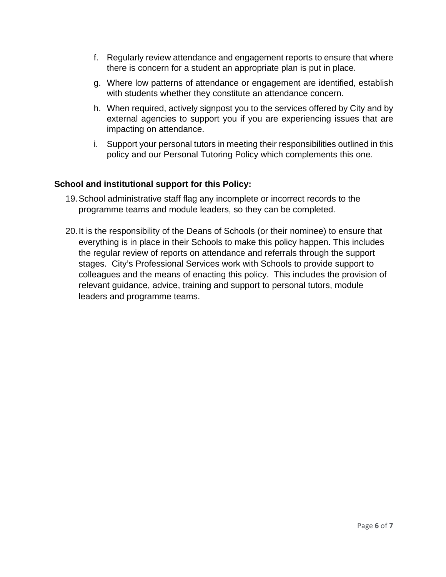- f. Regularly review attendance and engagement reports to ensure that where there is concern for a student an appropriate plan is put in place.
- g. Where low patterns of attendance or engagement are identified, establish with students whether they constitute an attendance concern.
- h. When required, actively signpost you to the services offered by City and by external agencies to support you if you are experiencing issues that are impacting on attendance.
- i. Support your personal tutors in meeting their responsibilities outlined in this policy and our Personal Tutoring Policy which complements this one.

#### **School and institutional support for this Policy:**

- 19.School administrative staff flag any incomplete or incorrect records to the programme teams and module leaders, so they can be completed.
- 20.It is the responsibility of the Deans of Schools (or their nominee) to ensure that everything is in place in their Schools to make this policy happen. This includes the regular review of reports on attendance and referrals through the support stages. City's Professional Services work with Schools to provide support to colleagues and the means of enacting this policy. This includes the provision of relevant guidance, advice, training and support to personal tutors, module leaders and programme teams.